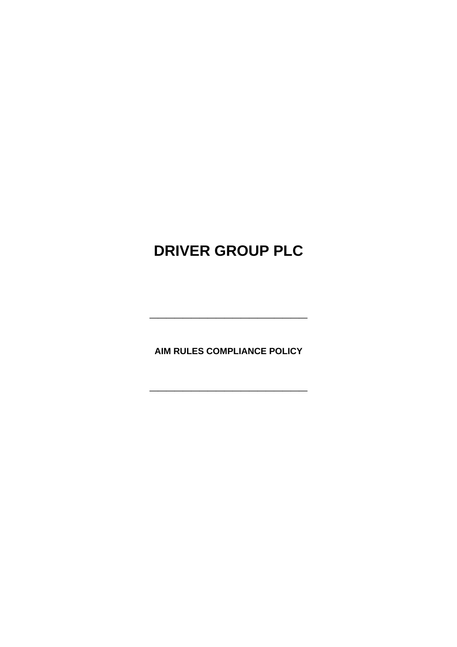# **DRIVER GROUP PLC**

**AIM RULES COMPLIANCE POLICY** 

**\_\_\_\_\_\_\_\_\_\_\_\_\_\_\_\_\_\_\_**

**\_\_\_\_\_\_\_\_\_\_\_\_\_\_\_\_\_\_\_**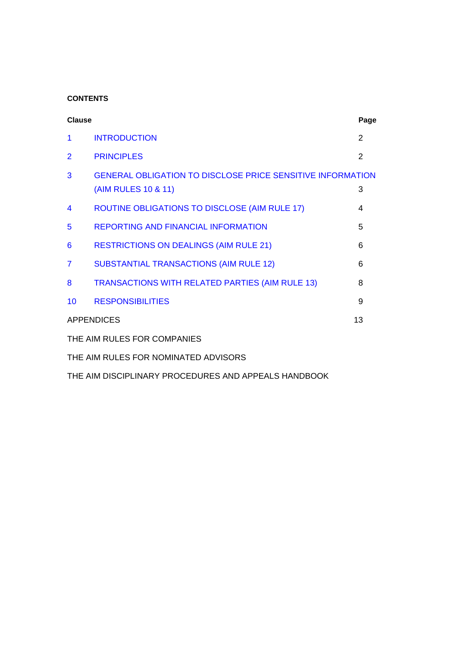# **CONTENTS**

| <b>Clause</b>                                        |                                                                                          | Page          |
|------------------------------------------------------|------------------------------------------------------------------------------------------|---------------|
| 1                                                    | <b>INTRODUCTION</b>                                                                      | 2             |
| $\overline{2}$                                       | <b>PRINCIPLES</b>                                                                        | $\mathcal{P}$ |
| 3                                                    | <b>GENERAL OBLIGATION TO DISCLOSE PRICE SENSITIVE INFORMATION</b><br>(AIM RULES 10 & 11) | 3             |
| 4                                                    | ROUTINE OBLIGATIONS TO DISCLOSE (AIM RULE 17)                                            | 4             |
| 5                                                    | <b>REPORTING AND FINANCIAL INFORMATION</b>                                               | 5             |
| 6                                                    | <b>RESTRICTIONS ON DEALINGS (AIM RULE 21)</b>                                            | 6             |
| 7                                                    | <b>SUBSTANTIAL TRANSACTIONS (AIM RULE 12)</b>                                            | 6             |
| 8                                                    | TRANSACTIONS WITH RELATED PARTIES (AIM RULE 13)                                          | 8             |
| 10                                                   | <b>RESPONSIBILITIES</b>                                                                  | 9             |
| <b>APPENDICES</b>                                    |                                                                                          | 13            |
| THE AIM RULES FOR COMPANIES                          |                                                                                          |               |
| THE AIM RULES FOR NOMINATED ADVISORS                 |                                                                                          |               |
| THE AIM DISCIPLINARY PROCEDURES AND APPEALS HANDBOOK |                                                                                          |               |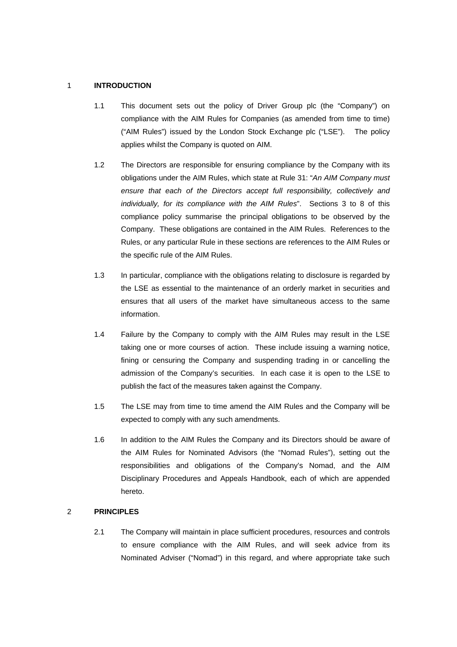#### 1 **INTRODUCTION**

- 1.1 This document sets out the policy of Driver Group plc (the "Company") on compliance with the AIM Rules for Companies (as amended from time to time) ("AIM Rules") issued by the London Stock Exchange plc ("LSE"). The policy applies whilst the Company is quoted on AIM.
- 1.2 The Directors are responsible for ensuring compliance by the Company with its obligations under the AIM Rules, which state at Rule 31: "*An AIM Company must ensure that each of the Directors accept full responsibility, collectively and individually, for its compliance with the AIM Rules*". Sections 3 to 8 of this compliance policy summarise the principal obligations to be observed by the Company. These obligations are contained in the AIM Rules. References to the Rules, or any particular Rule in these sections are references to the AIM Rules or the specific rule of the AIM Rules.
- 1.3 In particular, compliance with the obligations relating to disclosure is regarded by the LSE as essential to the maintenance of an orderly market in securities and ensures that all users of the market have simultaneous access to the same information.
- 1.4 Failure by the Company to comply with the AIM Rules may result in the LSE taking one or more courses of action. These include issuing a warning notice, fining or censuring the Company and suspending trading in or cancelling the admission of the Company's securities. In each case it is open to the LSE to publish the fact of the measures taken against the Company.
- 1.5 The LSE may from time to time amend the AIM Rules and the Company will be expected to comply with any such amendments.
- 1.6 In addition to the AIM Rules the Company and its Directors should be aware of the AIM Rules for Nominated Advisors (the "Nomad Rules"), setting out the responsibilities and obligations of the Company's Nomad, and the AIM Disciplinary Procedures and Appeals Handbook, each of which are appended hereto.

## 2 **PRINCIPLES**

2.1 The Company will maintain in place sufficient procedures, resources and controls to ensure compliance with the AIM Rules, and will seek advice from its Nominated Adviser ("Nomad") in this regard, and where appropriate take such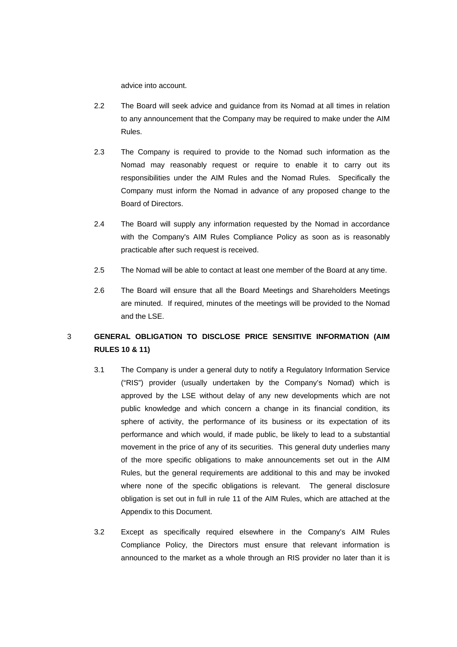advice into account.

- 2.2 The Board will seek advice and guidance from its Nomad at all times in relation to any announcement that the Company may be required to make under the AIM Rules.
- 2.3 The Company is required to provide to the Nomad such information as the Nomad may reasonably request or require to enable it to carry out its responsibilities under the AIM Rules and the Nomad Rules. Specifically the Company must inform the Nomad in advance of any proposed change to the Board of Directors.
- 2.4 The Board will supply any information requested by the Nomad in accordance with the Company's AIM Rules Compliance Policy as soon as is reasonably practicable after such request is received.
- 2.5 The Nomad will be able to contact at least one member of the Board at any time.
- 2.6 The Board will ensure that all the Board Meetings and Shareholders Meetings are minuted. If required, minutes of the meetings will be provided to the Nomad and the LSE.

# 3 **GENERAL OBLIGATION TO DISCLOSE PRICE SENSITIVE INFORMATION (AIM RULES 10 & 11)**

- 3.1 The Company is under a general duty to notify a Regulatory Information Service ("RIS") provider (usually undertaken by the Company's Nomad) which is approved by the LSE without delay of any new developments which are not public knowledge and which concern a change in its financial condition, its sphere of activity, the performance of its business or its expectation of its performance and which would, if made public, be likely to lead to a substantial movement in the price of any of its securities. This general duty underlies many of the more specific obligations to make announcements set out in the AIM Rules, but the general requirements are additional to this and may be invoked where none of the specific obligations is relevant. The general disclosure obligation is set out in full in rule 11 of the AIM Rules, which are attached at the Appendix to this Document.
- 3.2 Except as specifically required elsewhere in the Company's AIM Rules Compliance Policy, the Directors must ensure that relevant information is announced to the market as a whole through an RIS provider no later than it is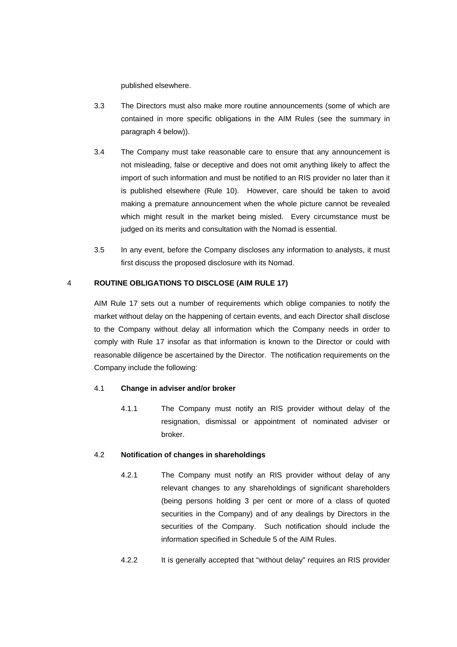published elsewhere.

- 3.3 The Directors must also make more routine announcements (some of which are contained in more specific obligations in the AIM Rules (see the summary in paragraph 4 below)).
- 3.4 The Company must take reasonable care to ensure that any announcement is not misleading, false or deceptive and does not omit anything likely to affect the import of such information and must be notified to an RIS provider no later than it is published elsewhere (Rule 10). However, care should be taken to avoid making a premature announcement when the whole picture cannot be revealed which might result in the market being misled. Every circumstance must be judged on its merits and consultation with the Nomad is essential.
- 3.5 In any event, before the Company discloses any information to analysts, it must first discuss the proposed disclosure with its Nomad.

## 4 **ROUTINE OBLIGATIONS TO DISCLOSE (AIM RULE 17)**

AIM Rule 17 sets out a number of requirements which oblige companies to notify the market without delay on the happening of certain events, and each Director shall disclose to the Company without delay all information which the Company needs in order to comply with Rule 17 insofar as that information is known to the Director or could with reasonable diligence be ascertained by the Director. The notification requirements on the Company include the following:

#### 4.1 **Change in adviser and/or broker**

4.1.1 The Company must notify an RIS provider without delay of the resignation, dismissal or appointment of nominated adviser or broker.

#### 4.2 **Notification of changes in shareholdings**

- 4.2.1 The Company must notify an RIS provider without delay of any relevant changes to any shareholdings of significant shareholders (being persons holding 3 per cent or more of a class of quoted securities in the Company) and of any dealings by Directors in the securities of the Company. Such notification should include the information specified in Schedule 5 of the AIM Rules.
- 4.2.2 It is generally accepted that "without delay" requires an RIS provider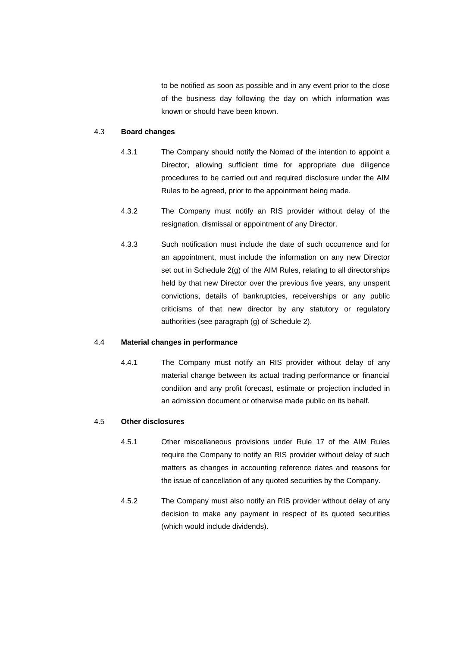to be notified as soon as possible and in any event prior to the close of the business day following the day on which information was known or should have been known.

#### 4.3 **Board changes**

- 4.3.1 The Company should notify the Nomad of the intention to appoint a Director, allowing sufficient time for appropriate due diligence procedures to be carried out and required disclosure under the AIM Rules to be agreed, prior to the appointment being made.
- 4.3.2 The Company must notify an RIS provider without delay of the resignation, dismissal or appointment of any Director.
- 4.3.3 Such notification must include the date of such occurrence and for an appointment, must include the information on any new Director set out in Schedule 2(g) of the AIM Rules, relating to all directorships held by that new Director over the previous five years, any unspent convictions, details of bankruptcies, receiverships or any public criticisms of that new director by any statutory or regulatory authorities (see paragraph (g) of Schedule 2).

## 4.4 **Material changes in performance**

4.4.1 The Company must notify an RIS provider without delay of any material change between its actual trading performance or financial condition and any profit forecast, estimate or projection included in an admission document or otherwise made public on its behalf.

#### 4.5 **Other disclosures**

- 4.5.1 Other miscellaneous provisions under Rule 17 of the AIM Rules require the Company to notify an RIS provider without delay of such matters as changes in accounting reference dates and reasons for the issue of cancellation of any quoted securities by the Company.
- 4.5.2 The Company must also notify an RIS provider without delay of any decision to make any payment in respect of its quoted securities (which would include dividends).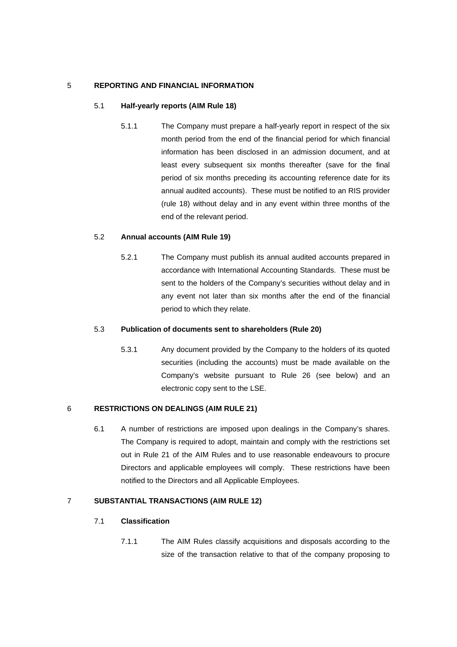## 5 **REPORTING AND FINANCIAL INFORMATION**

## 5.1 **Half-yearly reports (AIM Rule 18)**

5.1.1 The Company must prepare a half-yearly report in respect of the six month period from the end of the financial period for which financial information has been disclosed in an admission document, and at least every subsequent six months thereafter (save for the final period of six months preceding its accounting reference date for its annual audited accounts). These must be notified to an RIS provider (rule 18) without delay and in any event within three months of the end of the relevant period.

## 5.2 **Annual accounts (AIM Rule 19)**

5.2.1 The Company must publish its annual audited accounts prepared in accordance with International Accounting Standards. These must be sent to the holders of the Company's securities without delay and in any event not later than six months after the end of the financial period to which they relate.

#### 5.3 **Publication of documents sent to shareholders (Rule 20)**

5.3.1 Any document provided by the Company to the holders of its quoted securities (including the accounts) must be made available on the Company's website pursuant to Rule 26 (see below) and an electronic copy sent to the LSE.

## 6 **RESTRICTIONS ON DEALINGS (AIM RULE 21)**

6.1 A number of restrictions are imposed upon dealings in the Company's shares. The Company is required to adopt, maintain and comply with the restrictions set out in Rule 21 of the AIM Rules and to use reasonable endeavours to procure Directors and applicable employees will comply. These restrictions have been notified to the Directors and all Applicable Employees.

## 7 **SUBSTANTIAL TRANSACTIONS (AIM RULE 12)**

## 7.1 **Classification**

7.1.1 The AIM Rules classify acquisitions and disposals according to the size of the transaction relative to that of the company proposing to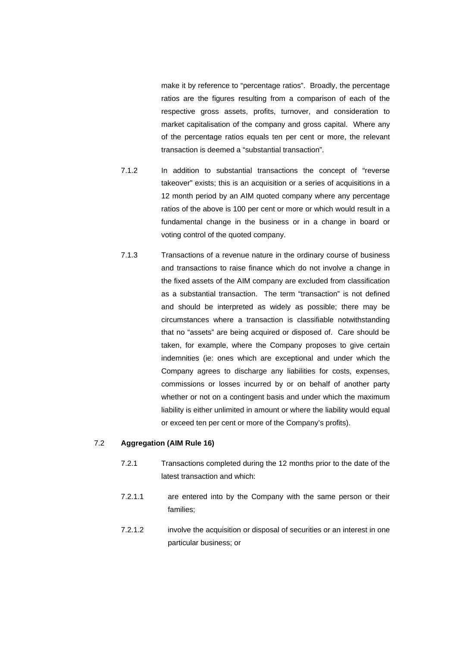make it by reference to "percentage ratios". Broadly, the percentage ratios are the figures resulting from a comparison of each of the respective gross assets, profits, turnover, and consideration to market capitalisation of the company and gross capital. Where any of the percentage ratios equals ten per cent or more, the relevant transaction is deemed a "substantial transaction".

- 7.1.2 In addition to substantial transactions the concept of "reverse takeover" exists; this is an acquisition or a series of acquisitions in a 12 month period by an AIM quoted company where any percentage ratios of the above is 100 per cent or more or which would result in a fundamental change in the business or in a change in board or voting control of the quoted company.
- 7.1.3 Transactions of a revenue nature in the ordinary course of business and transactions to raise finance which do not involve a change in the fixed assets of the AIM company are excluded from classification as a substantial transaction. The term "transaction" is not defined and should be interpreted as widely as possible; there may be circumstances where a transaction is classifiable notwithstanding that no "assets" are being acquired or disposed of. Care should be taken, for example, where the Company proposes to give certain indemnities (ie: ones which are exceptional and under which the Company agrees to discharge any liabilities for costs, expenses, commissions or losses incurred by or on behalf of another party whether or not on a contingent basis and under which the maximum liability is either unlimited in amount or where the liability would equal or exceed ten per cent or more of the Company's profits).

## 7.2 **Aggregation (AIM Rule 16)**

- 7.2.1 Transactions completed during the 12 months prior to the date of the latest transaction and which:
- 7.2.1.1 are entered into by the Company with the same person or their families;
- 7.2.1.2 involve the acquisition or disposal of securities or an interest in one particular business; or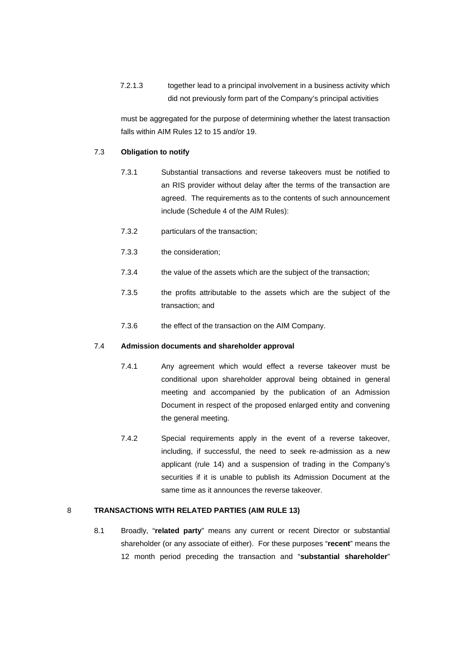7.2.1.3 together lead to a principal involvement in a business activity which did not previously form part of the Company's principal activities

must be aggregated for the purpose of determining whether the latest transaction falls within AIM Rules 12 to 15 and/or 19.

#### 7.3 **Obligation to notify**

- 7.3.1 Substantial transactions and reverse takeovers must be notified to an RIS provider without delay after the terms of the transaction are agreed. The requirements as to the contents of such announcement include (Schedule 4 of the AIM Rules):
- 7.3.2 particulars of the transaction;
- 7.3.3 the consideration;
- 7.3.4 the value of the assets which are the subject of the transaction;
- 7.3.5 the profits attributable to the assets which are the subject of the transaction; and
- 7.3.6 the effect of the transaction on the AIM Company.

#### 7.4 **Admission documents and shareholder approval**

- 7.4.1 Any agreement which would effect a reverse takeover must be conditional upon shareholder approval being obtained in general meeting and accompanied by the publication of an Admission Document in respect of the proposed enlarged entity and convening the general meeting.
- 7.4.2 Special requirements apply in the event of a reverse takeover, including, if successful, the need to seek re-admission as a new applicant (rule 14) and a suspension of trading in the Company's securities if it is unable to publish its Admission Document at the same time as it announces the reverse takeover.

## 8 **TRANSACTIONS WITH RELATED PARTIES (AIM RULE 13)**

8.1 Broadly, "**related party**" means any current or recent Director or substantial shareholder (or any associate of either). For these purposes "**recent**" means the 12 month period preceding the transaction and "**substantial shareholder**"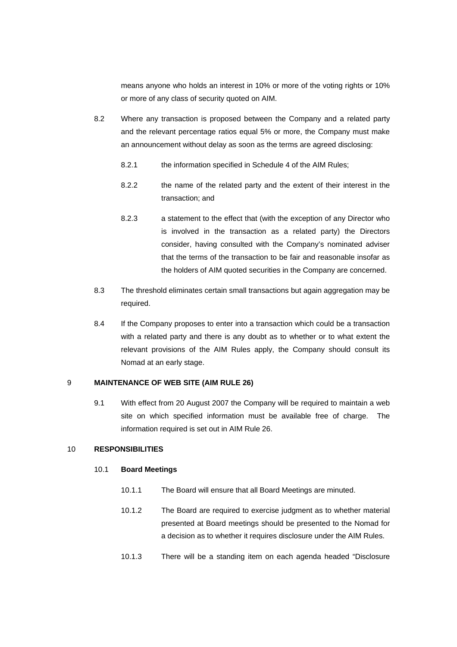means anyone who holds an interest in 10% or more of the voting rights or 10% or more of any class of security quoted on AIM.

- 8.2 Where any transaction is proposed between the Company and a related party and the relevant percentage ratios equal 5% or more, the Company must make an announcement without delay as soon as the terms are agreed disclosing:
	- 8.2.1 the information specified in Schedule 4 of the AIM Rules;
	- 8.2.2 the name of the related party and the extent of their interest in the transaction; and
	- 8.2.3 a statement to the effect that (with the exception of any Director who is involved in the transaction as a related party) the Directors consider, having consulted with the Company's nominated adviser that the terms of the transaction to be fair and reasonable insofar as the holders of AIM quoted securities in the Company are concerned.
- 8.3 The threshold eliminates certain small transactions but again aggregation may be required.
- 8.4 If the Company proposes to enter into a transaction which could be a transaction with a related party and there is any doubt as to whether or to what extent the relevant provisions of the AIM Rules apply, the Company should consult its Nomad at an early stage.

## 9 **MAINTENANCE OF WEB SITE (AIM RULE 26)**

9.1 With effect from 20 August 2007 the Company will be required to maintain a web site on which specified information must be available free of charge. The information required is set out in AIM Rule 26.

## 10 **RESPONSIBILITIES**

#### 10.1 **Board Meetings**

- 10.1.1 The Board will ensure that all Board Meetings are minuted.
- 10.1.2 The Board are required to exercise judgment as to whether material presented at Board meetings should be presented to the Nomad for a decision as to whether it requires disclosure under the AIM Rules.
- 10.1.3 There will be a standing item on each agenda headed "Disclosure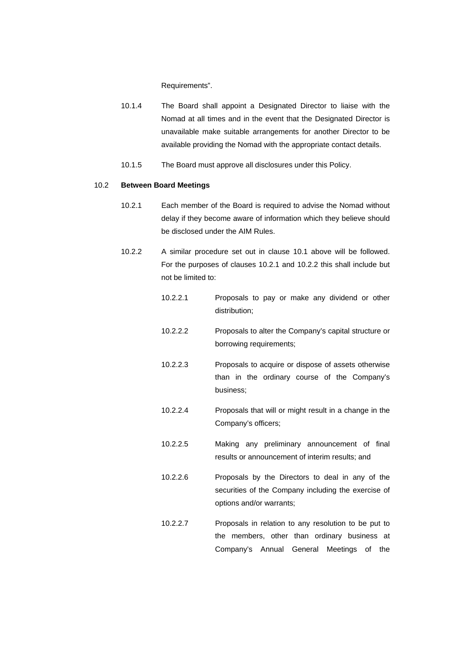Requirements".

- 10.1.4 The Board shall appoint a Designated Director to liaise with the Nomad at all times and in the event that the Designated Director is unavailable make suitable arrangements for another Director to be available providing the Nomad with the appropriate contact details.
- 10.1.5 The Board must approve all disclosures under this Policy.

#### 10.2 **Between Board Meetings**

- 10.2.1 Each member of the Board is required to advise the Nomad without delay if they become aware of information which they believe should be disclosed under the AIM Rules.
- 10.2.2 A similar procedure set out in clause 10.1 above will be followed. For the purposes of clauses 10.2.1 and 10.2.2 this shall include but not be limited to:
	- 10.2.2.1 Proposals to pay or make any dividend or other distribution;
	- 10.2.2.2 Proposals to alter the Company's capital structure or borrowing requirements;
	- 10.2.2.3 Proposals to acquire or dispose of assets otherwise than in the ordinary course of the Company's business;
	- 10.2.2.4 Proposals that will or might result in a change in the Company's officers;
	- 10.2.2.5 Making any preliminary announcement of final results or announcement of interim results; and
	- 10.2.2.6 Proposals by the Directors to deal in any of the securities of the Company including the exercise of options and/or warrants;
	- 10.2.2.7 Proposals in relation to any resolution to be put to the members, other than ordinary business at Company's Annual General Meetings of the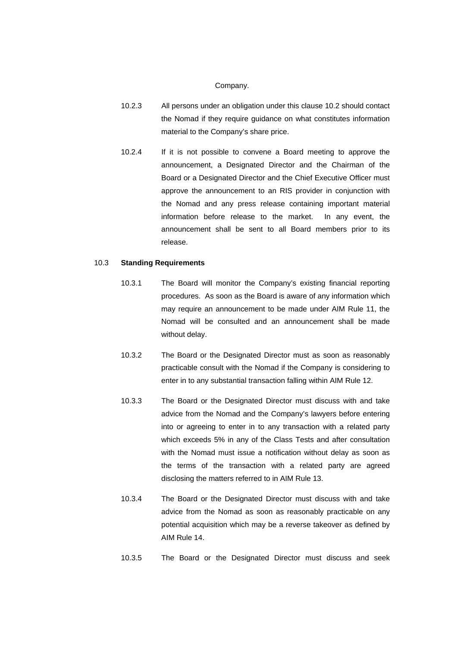#### Company.

- 10.2.3 All persons under an obligation under this clause 10.2 should contact the Nomad if they require guidance on what constitutes information material to the Company's share price.
- 10.2.4 If it is not possible to convene a Board meeting to approve the announcement, a Designated Director and the Chairman of the Board or a Designated Director and the Chief Executive Officer must approve the announcement to an RIS provider in conjunction with the Nomad and any press release containing important material information before release to the market. In any event, the announcement shall be sent to all Board members prior to its release.

#### 10.3 **Standing Requirements**

- 10.3.1 The Board will monitor the Company's existing financial reporting procedures. As soon as the Board is aware of any information which may require an announcement to be made under AIM Rule 11, the Nomad will be consulted and an announcement shall be made without delay.
- 10.3.2 The Board or the Designated Director must as soon as reasonably practicable consult with the Nomad if the Company is considering to enter in to any substantial transaction falling within AIM Rule 12.
- 10.3.3 The Board or the Designated Director must discuss with and take advice from the Nomad and the Company's lawyers before entering into or agreeing to enter in to any transaction with a related party which exceeds 5% in any of the Class Tests and after consultation with the Nomad must issue a notification without delay as soon as the terms of the transaction with a related party are agreed disclosing the matters referred to in AIM Rule 13.
- 10.3.4 The Board or the Designated Director must discuss with and take advice from the Nomad as soon as reasonably practicable on any potential acquisition which may be a reverse takeover as defined by AIM Rule 14.
- 10.3.5 The Board or the Designated Director must discuss and seek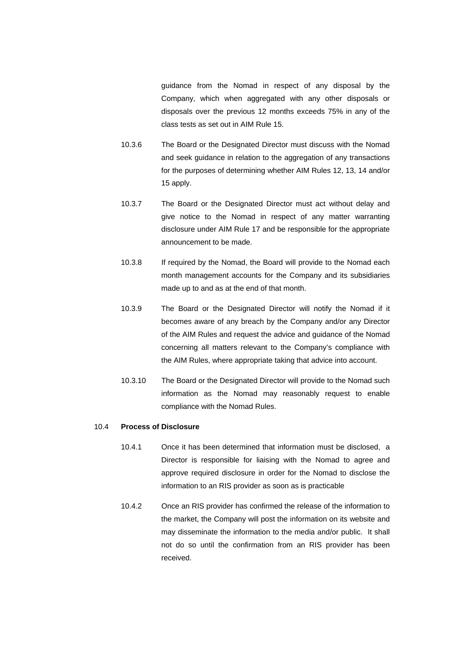guidance from the Nomad in respect of any disposal by the Company, which when aggregated with any other disposals or disposals over the previous 12 months exceeds 75% in any of the class tests as set out in AIM Rule 15.

- 10.3.6 The Board or the Designated Director must discuss with the Nomad and seek guidance in relation to the aggregation of any transactions for the purposes of determining whether AIM Rules 12, 13, 14 and/or 15 apply.
- 10.3.7 The Board or the Designated Director must act without delay and give notice to the Nomad in respect of any matter warranting disclosure under AIM Rule 17 and be responsible for the appropriate announcement to be made.
- 10.3.8 If required by the Nomad, the Board will provide to the Nomad each month management accounts for the Company and its subsidiaries made up to and as at the end of that month.
- 10.3.9 The Board or the Designated Director will notify the Nomad if it becomes aware of any breach by the Company and/or any Director of the AIM Rules and request the advice and guidance of the Nomad concerning all matters relevant to the Company's compliance with the AIM Rules, where appropriate taking that advice into account.
- 10.3.10 The Board or the Designated Director will provide to the Nomad such information as the Nomad may reasonably request to enable compliance with the Nomad Rules.

#### 10.4 **Process of Disclosure**

- 10.4.1 Once it has been determined that information must be disclosed, a Director is responsible for liaising with the Nomad to agree and approve required disclosure in order for the Nomad to disclose the information to an RIS provider as soon as is practicable
- 10.4.2 Once an RIS provider has confirmed the release of the information to the market, the Company will post the information on its website and may disseminate the information to the media and/or public. It shall not do so until the confirmation from an RIS provider has been received.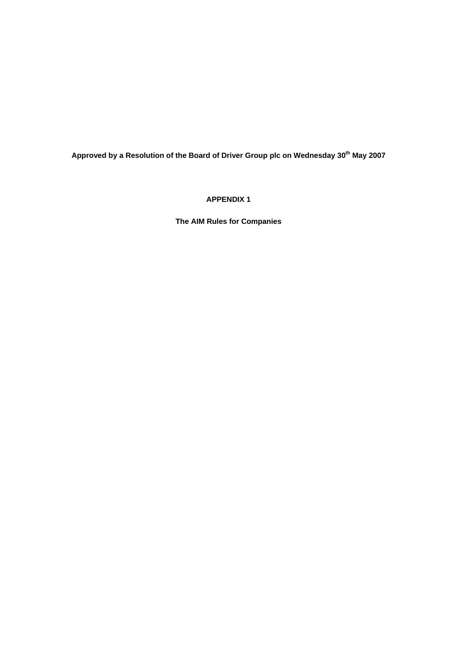Approved by a Resolution of the Board of Driver Group plc on Wednesday 30<sup>th</sup> May 2007

**APPENDIX 1** 

**The AIM Rules for Companies**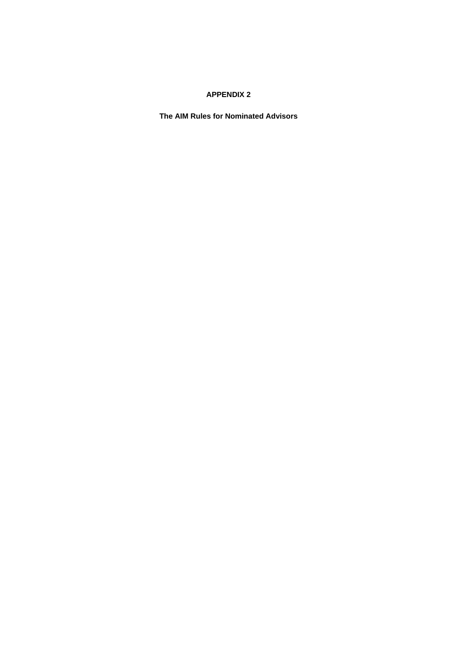## **APPENDIX 2**

**The AIM Rules for Nominated Advisors**